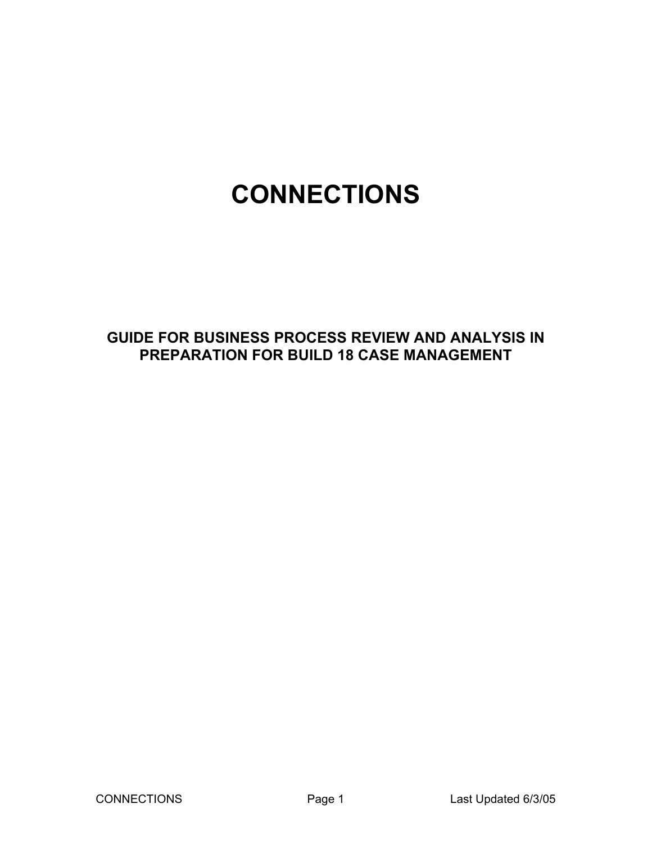# **CONNECTIONS**

# **GUIDE FOR BUSINESS PROCESS REVIEW AND ANALYSIS IN PREPARATION FOR BUILD 18 CASE MANAGEMENT**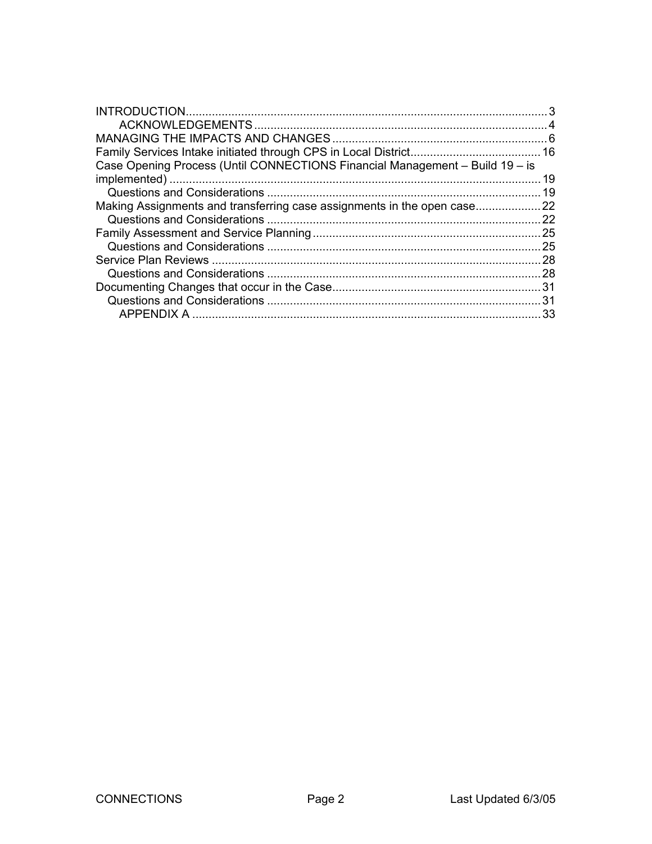| Case Opening Process (Until CONNECTIONS Financial Management - Build 19 - is |      |
|------------------------------------------------------------------------------|------|
|                                                                              | 19   |
|                                                                              | 19   |
| Making Assignments and transferring case assignments in the open case        | . 22 |
|                                                                              | 22   |
|                                                                              |      |
|                                                                              | 25   |
|                                                                              | .28  |
|                                                                              | 28   |
|                                                                              | 31   |
|                                                                              |      |
| APPENDIX A                                                                   | 33   |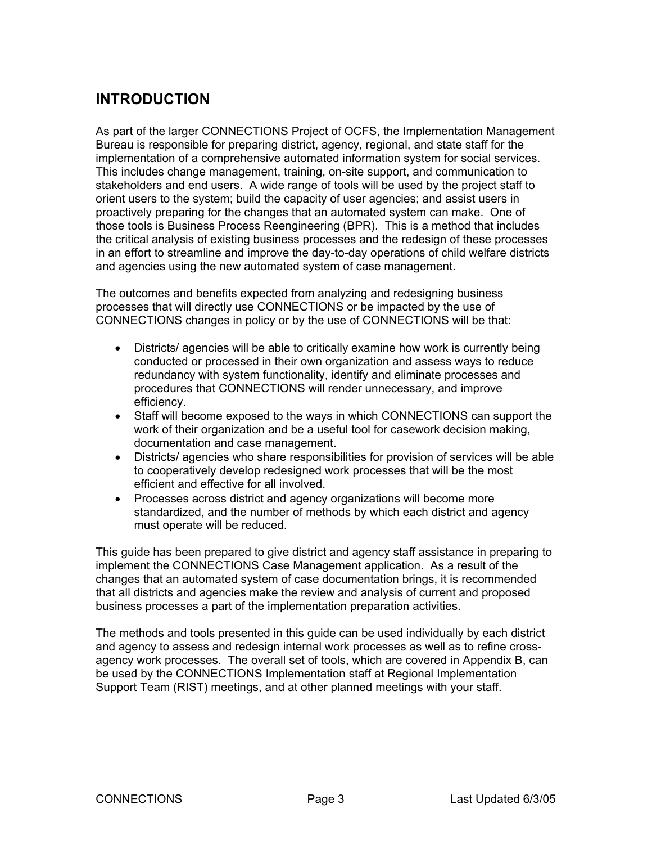# <span id="page-2-0"></span>**INTRODUCTION**

As part of the larger CONNECTIONS Project of OCFS, the Implementation Management Bureau is responsible for preparing district, agency, regional, and state staff for the implementation of a comprehensive automated information system for social services. This includes change management, training, on-site support, and communication to stakeholders and end users. A wide range of tools will be used by the project staff to orient users to the system; build the capacity of user agencies; and assist users in proactively preparing for the changes that an automated system can make. One of those tools is Business Process Reengineering (BPR). This is a method that includes the critical analysis of existing business processes and the redesign of these processes in an effort to streamline and improve the day-to-day operations of child welfare districts and agencies using the new automated system of case management.

The outcomes and benefits expected from analyzing and redesigning business processes that will directly use CONNECTIONS or be impacted by the use of CONNECTIONS changes in policy or by the use of CONNECTIONS will be that:

- Districts/ agencies will be able to critically examine how work is currently being conducted or processed in their own organization and assess ways to reduce redundancy with system functionality, identify and eliminate processes and procedures that CONNECTIONS will render unnecessary, and improve efficiency.
- Staff will become exposed to the ways in which CONNECTIONS can support the work of their organization and be a useful tool for casework decision making, documentation and case management.
- Districts/ agencies who share responsibilities for provision of services will be able to cooperatively develop redesigned work processes that will be the most efficient and effective for all involved.
- Processes across district and agency organizations will become more standardized, and the number of methods by which each district and agency must operate will be reduced.

This guide has been prepared to give district and agency staff assistance in preparing to implement the CONNECTIONS Case Management application. As a result of the changes that an automated system of case documentation brings, it is recommended that all districts and agencies make the review and analysis of current and proposed business processes a part of the implementation preparation activities.

The methods and tools presented in this guide can be used individually by each district and agency to assess and redesign internal work processes as well as to refine crossagency work processes. The overall set of tools, which are covered in Appendix B, can be used by the CONNECTIONS Implementation staff at Regional Implementation Support Team (RIST) meetings, and at other planned meetings with your staff.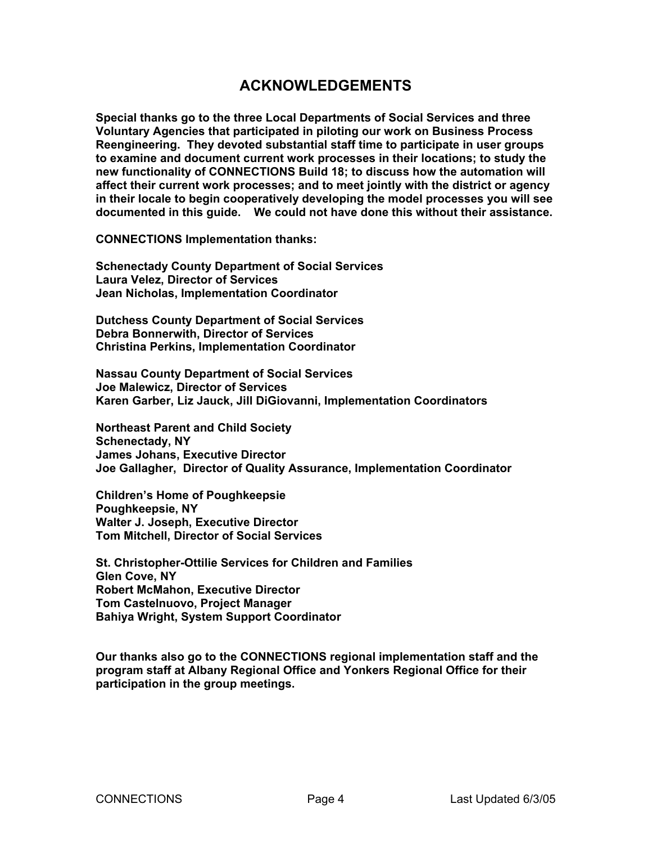# **ACKNOWLEDGEMENTS**

<span id="page-3-0"></span>**Special thanks go to the three Local Departments of Social Services and three Voluntary Agencies that participated in piloting our work on Business Process Reengineering. They devoted substantial staff time to participate in user groups to examine and document current work processes in their locations; to study the new functionality of CONNECTIONS Build 18; to discuss how the automation will affect their current work processes; and to meet jointly with the district or agency in their locale to begin cooperatively developing the model processes you will see documented in this guide. We could not have done this without their assistance.** 

**CONNECTIONS Implementation thanks:** 

**Schenectady County Department of Social Services Laura Velez, Director of Services Jean Nicholas, Implementation Coordinator** 

**Dutchess County Department of Social Services Debra Bonnerwith, Director of Services Christina Perkins, Implementation Coordinator** 

**Nassau County Department of Social Services Joe Malewicz, Director of Services Karen Garber, Liz Jauck, Jill DiGiovanni, Implementation Coordinators** 

**Northeast Parent and Child Society Schenectady, NY James Johans, Executive Director Joe Gallagher, Director of Quality Assurance, Implementation Coordinator** 

**Children's Home of Poughkeepsie Poughkeepsie, NY Walter J. Joseph, Executive Director Tom Mitchell, Director of Social Services** 

**St. Christopher-Ottilie Services for Children and Families Glen Cove, NY Robert McMahon, Executive Director Tom Castelnuovo, Project Manager Bahiya Wright, System Support Coordinator**

**Our thanks also go to the CONNECTIONS regional implementation staff and the program staff at Albany Regional Office and Yonkers Regional Office for their participation in the group meetings.**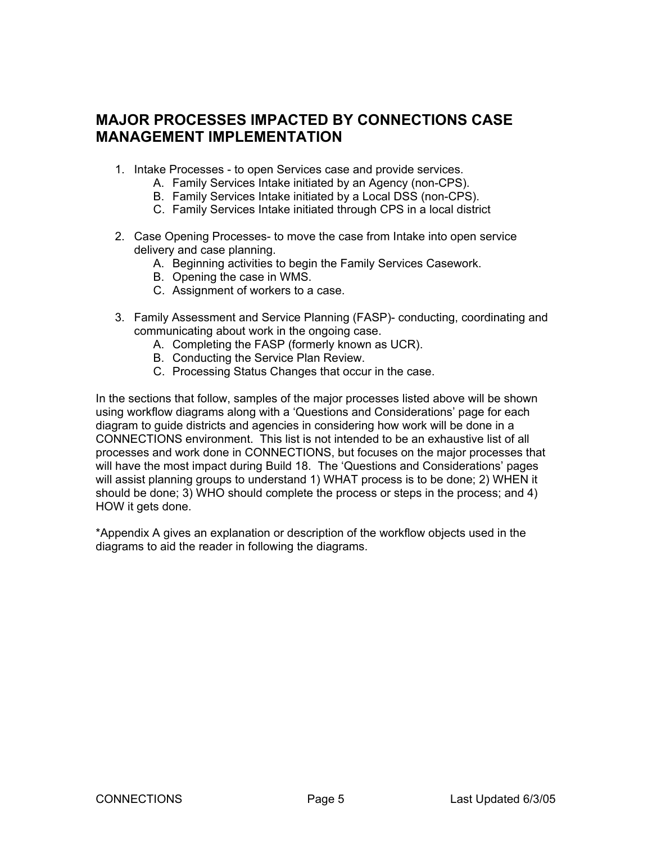# **MAJOR PROCESSES IMPACTED BY CONNECTIONS CASE MANAGEMENT IMPLEMENTATION**

- 1. Intake Processes to open Services case and provide services.
	- A. Family Services Intake initiated by an Agency (non-CPS).
	- B. Family Services Intake initiated by a Local DSS (non-CPS).
	- C. Family Services Intake initiated through CPS in a local district
- 2. Case Opening Processes- to move the case from Intake into open service delivery and case planning.
	- A. Beginning activities to begin the Family Services Casework.
	- B. Opening the case in WMS.
	- C. Assignment of workers to a case.
- 3. Family Assessment and Service Planning (FASP)- conducting, coordinating and communicating about work in the ongoing case.
	- A. Completing the FASP (formerly known as UCR).
	- B. Conducting the Service Plan Review.
	- C. Processing Status Changes that occur in the case.

In the sections that follow, samples of the major processes listed above will be shown using workflow diagrams along with a 'Questions and Considerations' page for each diagram to guide districts and agencies in considering how work will be done in a CONNECTIONS environment. This list is not intended to be an exhaustive list of all processes and work done in CONNECTIONS, but focuses on the major processes that will have the most impact during Build 18. The 'Questions and Considerations' pages will assist planning groups to understand 1) WHAT process is to be done; 2) WHEN it should be done; 3) WHO should complete the process or steps in the process; and 4) HOW it gets done.

\*Appendix A gives an explanation or description of the workflow objects used in the diagrams to aid the reader in following the diagrams.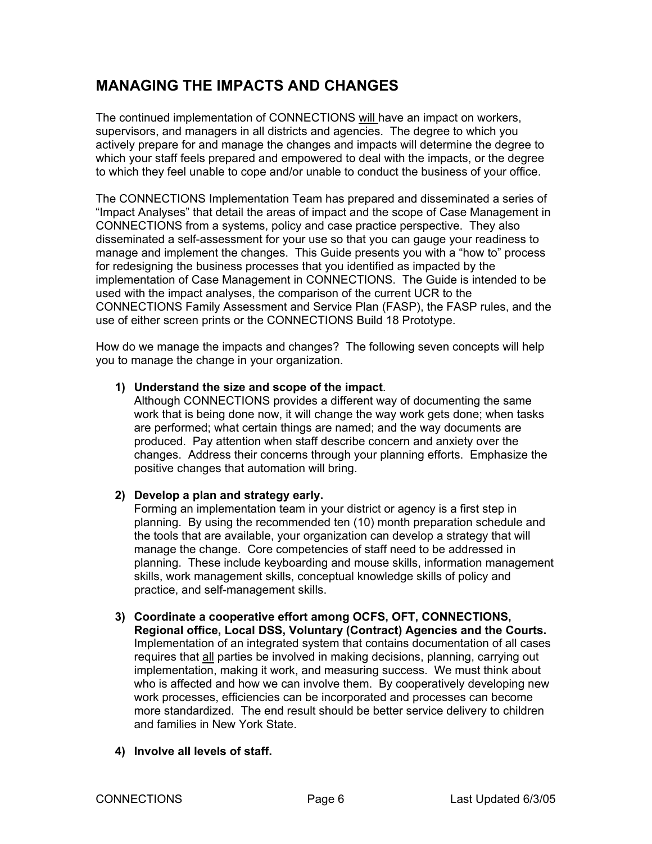# <span id="page-5-0"></span>**MANAGING THE IMPACTS AND CHANGES**

The continued implementation of CONNECTIONS will have an impact on workers, supervisors, and managers in all districts and agencies. The degree to which you actively prepare for and manage the changes and impacts will determine the degree to which your staff feels prepared and empowered to deal with the impacts, or the degree to which they feel unable to cope and/or unable to conduct the business of your office.

The CONNECTIONS Implementation Team has prepared and disseminated a series of "Impact Analyses" that detail the areas of impact and the scope of Case Management in CONNECTIONS from a systems, policy and case practice perspective. They also disseminated a self-assessment for your use so that you can gauge your readiness to manage and implement the changes. This Guide presents you with a "how to" process for redesigning the business processes that you identified as impacted by the implementation of Case Management in CONNECTIONS. The Guide is intended to be used with the impact analyses, the comparison of the current UCR to the CONNECTIONS Family Assessment and Service Plan (FASP), the FASP rules, and the use of either screen prints or the CONNECTIONS Build 18 Prototype.

How do we manage the impacts and changes? The following seven concepts will help you to manage the change in your organization.

# **1) Understand the size and scope of the impact**.

Although CONNECTIONS provides a different way of documenting the same work that is being done now, it will change the way work gets done; when tasks are performed; what certain things are named; and the way documents are produced. Pay attention when staff describe concern and anxiety over the changes. Address their concerns through your planning efforts. Emphasize the positive changes that automation will bring.

# **2) Develop a plan and strategy early.**

Forming an implementation team in your district or agency is a first step in planning. By using the recommended ten (10) month preparation schedule and the tools that are available, your organization can develop a strategy that will manage the change. Core competencies of staff need to be addressed in planning. These include keyboarding and mouse skills, information management skills, work management skills, conceptual knowledge skills of policy and practice, and self-management skills.

# **3) Coordinate a cooperative effort among OCFS, OFT, CONNECTIONS,**

**Regional office, Local DSS, Voluntary (Contract) Agencies and the Courts.**  Implementation of an integrated system that contains documentation of all cases requires that all parties be involved in making decisions, planning, carrying out implementation, making it work, and measuring success. We must think about who is affected and how we can involve them. By cooperatively developing new work processes, efficiencies can be incorporated and processes can become more standardized. The end result should be better service delivery to children and families in New York State.

# **4) Involve all levels of staff.**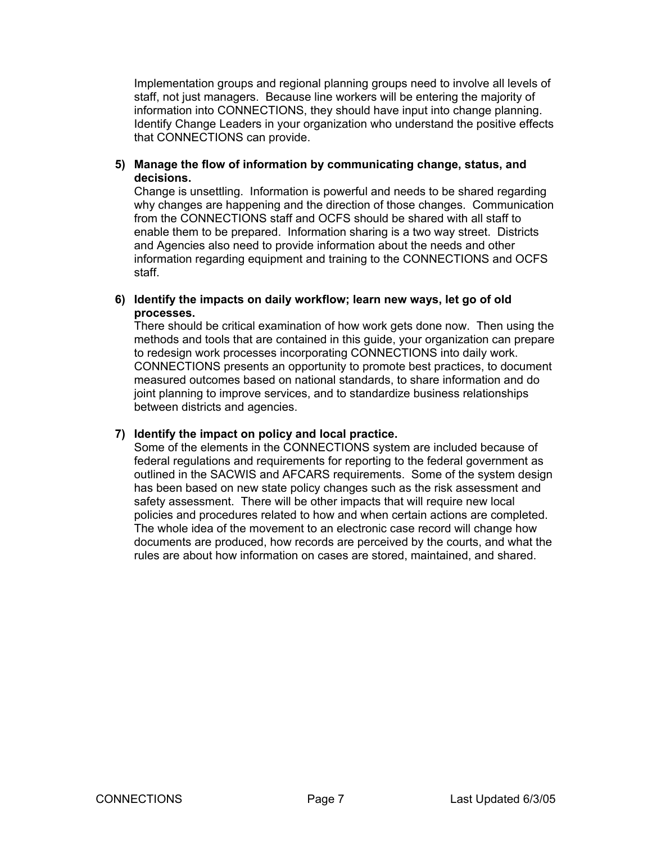Implementation groups and regional planning groups need to involve all levels of staff, not just managers. Because line workers will be entering the majority of information into CONNECTIONS, they should have input into change planning. Identify Change Leaders in your organization who understand the positive effects that CONNECTIONS can provide.

**5) Manage the flow of information by communicating change, status, and decisions.** 

Change is unsettling. Information is powerful and needs to be shared regarding why changes are happening and the direction of those changes. Communication from the CONNECTIONS staff and OCFS should be shared with all staff to enable them to be prepared. Information sharing is a two way street. Districts and Agencies also need to provide information about the needs and other information regarding equipment and training to the CONNECTIONS and OCFS staff.

**6) Identify the impacts on daily workflow; learn new ways, let go of old processes.** 

There should be critical examination of how work gets done now. Then using the methods and tools that are contained in this guide, your organization can prepare to redesign work processes incorporating CONNECTIONS into daily work. CONNECTIONS presents an opportunity to promote best practices, to document measured outcomes based on national standards, to share information and do joint planning to improve services, and to standardize business relationships between districts and agencies.

# **7) Identify the impact on policy and local practice.**

Some of the elements in the CONNECTIONS system are included because of federal regulations and requirements for reporting to the federal government as outlined in the SACWIS and AFCARS requirements. Some of the system design has been based on new state policy changes such as the risk assessment and safety assessment. There will be other impacts that will require new local policies and procedures related to how and when certain actions are completed. The whole idea of the movement to an electronic case record will change how documents are produced, how records are perceived by the courts, and what the rules are about how information on cases are stored, maintained, and shared.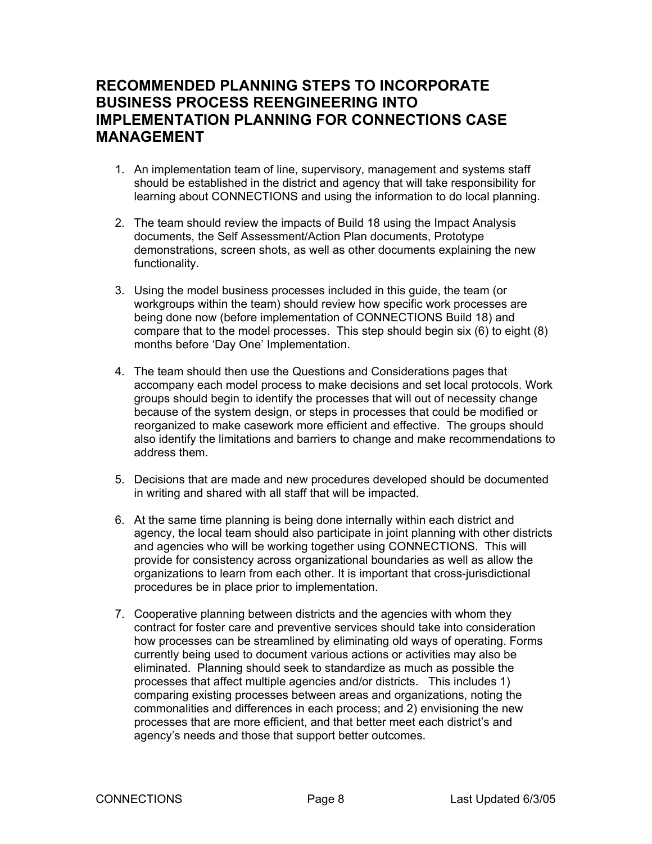# **RECOMMENDED PLANNING STEPS TO INCORPORATE BUSINESS PROCESS REENGINEERING INTO IMPLEMENTATION PLANNING FOR CONNECTIONS CASE MANAGEMENT**

- 1. An implementation team of line, supervisory, management and systems staff should be established in the district and agency that will take responsibility for learning about CONNECTIONS and using the information to do local planning.
- 2. The team should review the impacts of Build 18 using the Impact Analysis documents, the Self Assessment/Action Plan documents, Prototype demonstrations, screen shots, as well as other documents explaining the new functionality.
- 3. Using the model business processes included in this guide, the team (or workgroups within the team) should review how specific work processes are being done now (before implementation of CONNECTIONS Build 18) and compare that to the model processes. This step should begin six (6) to eight (8) months before 'Day One' Implementation.
- 4. The team should then use the Questions and Considerations pages that accompany each model process to make decisions and set local protocols. Work groups should begin to identify the processes that will out of necessity change because of the system design, or steps in processes that could be modified or reorganized to make casework more efficient and effective. The groups should also identify the limitations and barriers to change and make recommendations to address them.
- 5. Decisions that are made and new procedures developed should be documented in writing and shared with all staff that will be impacted.
- 6. At the same time planning is being done internally within each district and agency, the local team should also participate in joint planning with other districts and agencies who will be working together using CONNECTIONS. This will provide for consistency across organizational boundaries as well as allow the organizations to learn from each other. It is important that cross-jurisdictional procedures be in place prior to implementation.
- 7. Cooperative planning between districts and the agencies with whom they contract for foster care and preventive services should take into consideration how processes can be streamlined by eliminating old ways of operating. Forms currently being used to document various actions or activities may also be eliminated. Planning should seek to standardize as much as possible the processes that affect multiple agencies and/or districts. This includes 1) comparing existing processes between areas and organizations, noting the commonalities and differences in each process; and 2) envisioning the new processes that are more efficient, and that better meet each district's and agency's needs and those that support better outcomes.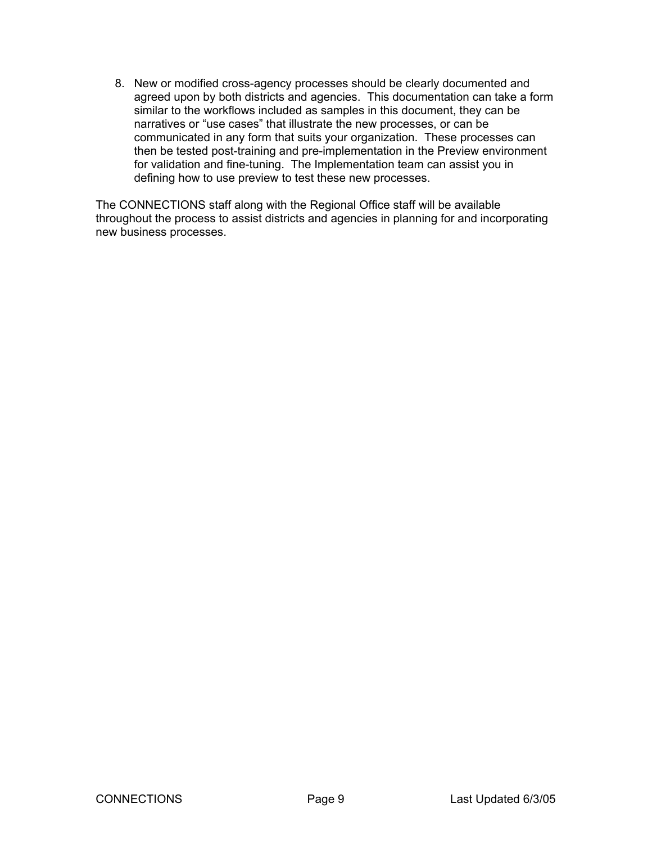8. New or modified cross-agency processes should be clearly documented and agreed upon by both districts and agencies. This documentation can take a form similar to the workflows included as samples in this document, they can be narratives or "use cases" that illustrate the new processes, or can be communicated in any form that suits your organization. These processes can then be tested post-training and pre-implementation in the Preview environment for validation and fine-tuning. The Implementation team can assist you in defining how to use preview to test these new processes.

The CONNECTIONS staff along with the Regional Office staff will be available throughout the process to assist districts and agencies in planning for and incorporating new business processes.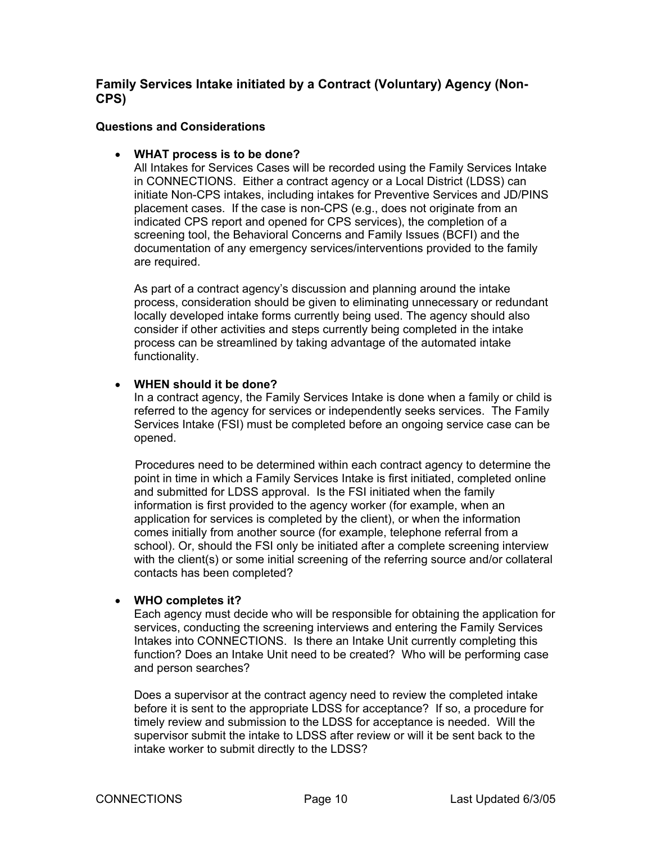# **Family Services Intake initiated by a Contract (Voluntary) Agency (Non-CPS)**

#### **Questions and Considerations**

#### • **WHAT process is to be done?**

All Intakes for Services Cases will be recorded using the Family Services Intake in CONNECTIONS. Either a contract agency or a Local District (LDSS) can initiate Non-CPS intakes, including intakes for Preventive Services and JD/PINS placement cases. If the case is non-CPS (e.g., does not originate from an indicated CPS report and opened for CPS services), the completion of a screening tool, the Behavioral Concerns and Family Issues (BCFI) and the documentation of any emergency services/interventions provided to the family are required.

As part of a contract agency's discussion and planning around the intake process, consideration should be given to eliminating unnecessary or redundant locally developed intake forms currently being used. The agency should also consider if other activities and steps currently being completed in the intake process can be streamlined by taking advantage of the automated intake functionality.

#### • **WHEN should it be done?**

In a contract agency, the Family Services Intake is done when a family or child is referred to the agency for services or independently seeks services. The Family Services Intake (FSI) must be completed before an ongoing service case can be opened.

 Procedures need to be determined within each contract agency to determine the point in time in which a Family Services Intake is first initiated, completed online and submitted for LDSS approval. Is the FSI initiated when the family information is first provided to the agency worker (for example, when an application for services is completed by the client), or when the information comes initially from another source (for example, telephone referral from a school). Or, should the FSI only be initiated after a complete screening interview with the client(s) or some initial screening of the referring source and/or collateral contacts has been completed?

#### • **WHO completes it?**

Each agency must decide who will be responsible for obtaining the application for services, conducting the screening interviews and entering the Family Services Intakes into CONNECTIONS. Is there an Intake Unit currently completing this function? Does an Intake Unit need to be created? Who will be performing case and person searches?

Does a supervisor at the contract agency need to review the completed intake before it is sent to the appropriate LDSS for acceptance? If so, a procedure for timely review and submission to the LDSS for acceptance is needed. Will the supervisor submit the intake to LDSS after review or will it be sent back to the intake worker to submit directly to the LDSS?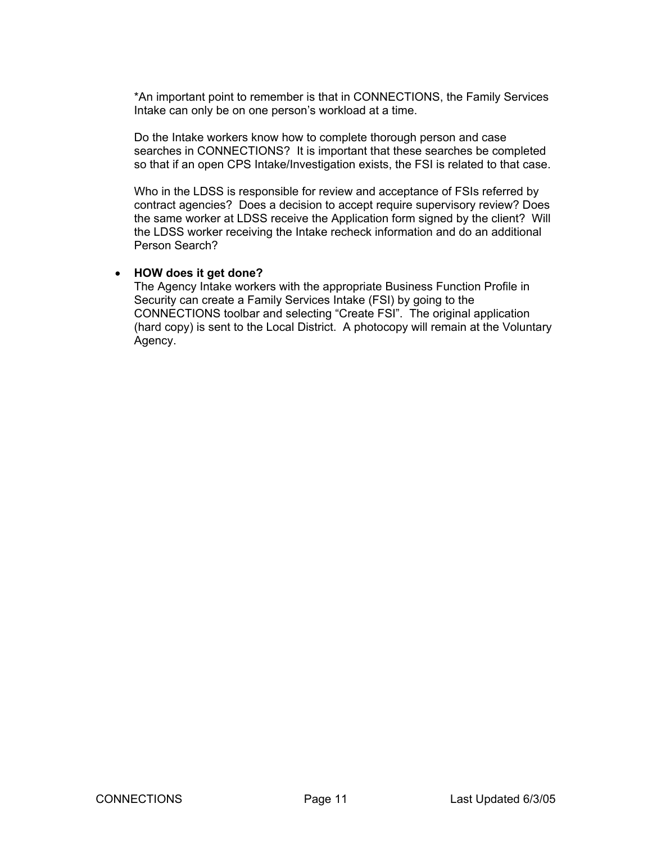\*An important point to remember is that in CONNECTIONS, the Family Services Intake can only be on one person's workload at a time.

Do the Intake workers know how to complete thorough person and case searches in CONNECTIONS? It is important that these searches be completed so that if an open CPS Intake/Investigation exists, the FSI is related to that case.

Who in the LDSS is responsible for review and acceptance of FSIs referred by contract agencies? Does a decision to accept require supervisory review? Does the same worker at LDSS receive the Application form signed by the client? Will the LDSS worker receiving the Intake recheck information and do an additional Person Search?

#### • **HOW does it get done?**

The Agency Intake workers with the appropriate Business Function Profile in Security can create a Family Services Intake (FSI) by going to the CONNECTIONS toolbar and selecting "Create FSI". The original application (hard copy) is sent to the Local District. A photocopy will remain at the Voluntary Agency.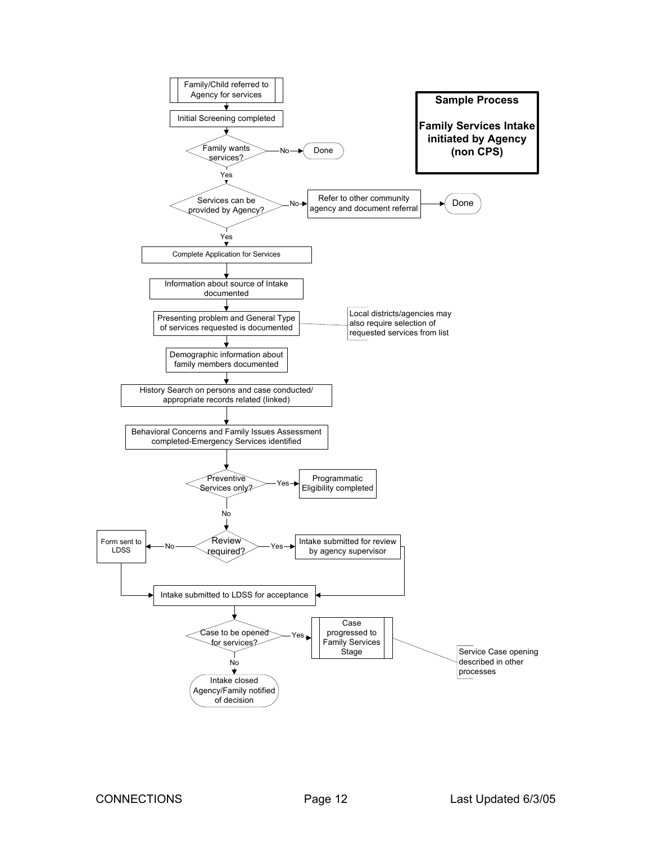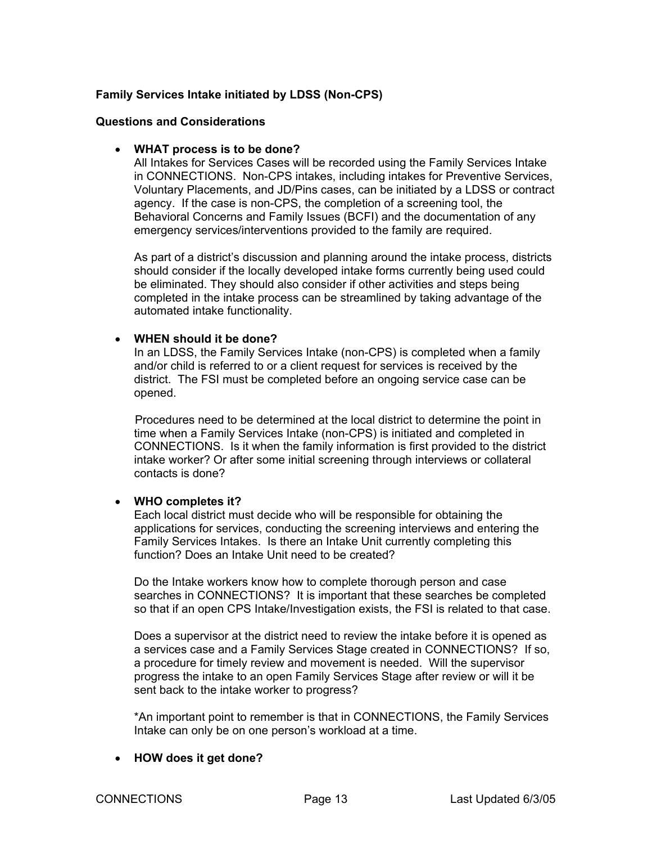## **Family Services Intake initiated by LDSS (Non-CPS)**

#### **Questions and Considerations**

#### • **WHAT process is to be done?**

All Intakes for Services Cases will be recorded using the Family Services Intake in CONNECTIONS. Non-CPS intakes, including intakes for Preventive Services, Voluntary Placements, and JD/Pins cases, can be initiated by a LDSS or contract agency. If the case is non-CPS, the completion of a screening tool, the Behavioral Concerns and Family Issues (BCFI) and the documentation of any emergency services/interventions provided to the family are required.

As part of a district's discussion and planning around the intake process, districts should consider if the locally developed intake forms currently being used could be eliminated. They should also consider if other activities and steps being completed in the intake process can be streamlined by taking advantage of the automated intake functionality.

#### • **WHEN should it be done?**

In an LDSS, the Family Services Intake (non-CPS) is completed when a family and/or child is referred to or a client request for services is received by the district. The FSI must be completed before an ongoing service case can be opened.

 Procedures need to be determined at the local district to determine the point in time when a Family Services Intake (non-CPS) is initiated and completed in CONNECTIONS. Is it when the family information is first provided to the district intake worker? Or after some initial screening through interviews or collateral contacts is done?

#### • **WHO completes it?**

Each local district must decide who will be responsible for obtaining the applications for services, conducting the screening interviews and entering the Family Services Intakes. Is there an Intake Unit currently completing this function? Does an Intake Unit need to be created?

Do the Intake workers know how to complete thorough person and case searches in CONNECTIONS? It is important that these searches be completed so that if an open CPS Intake/Investigation exists, the FSI is related to that case.

Does a supervisor at the district need to review the intake before it is opened as a services case and a Family Services Stage created in CONNECTIONS? If so, a procedure for timely review and movement is needed. Will the supervisor progress the intake to an open Family Services Stage after review or will it be sent back to the intake worker to progress?

\*An important point to remember is that in CONNECTIONS, the Family Services Intake can only be on one person's workload at a time.

#### • **HOW does it get done?**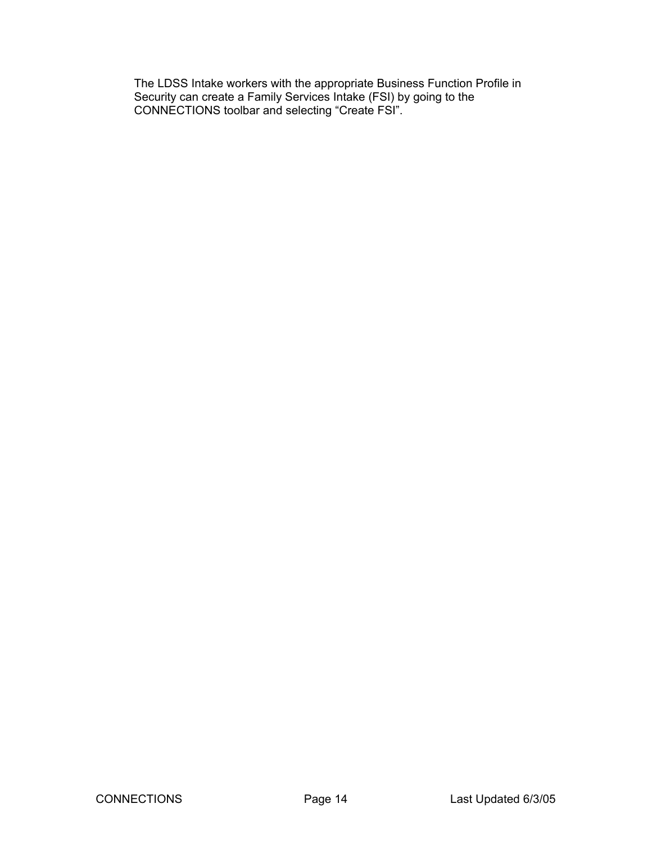The LDSS Intake workers with the appropriate Business Function Profile in Security can create a Family Services Intake (FSI) by going to the CONNECTIONS toolbar and selecting "Create FSI".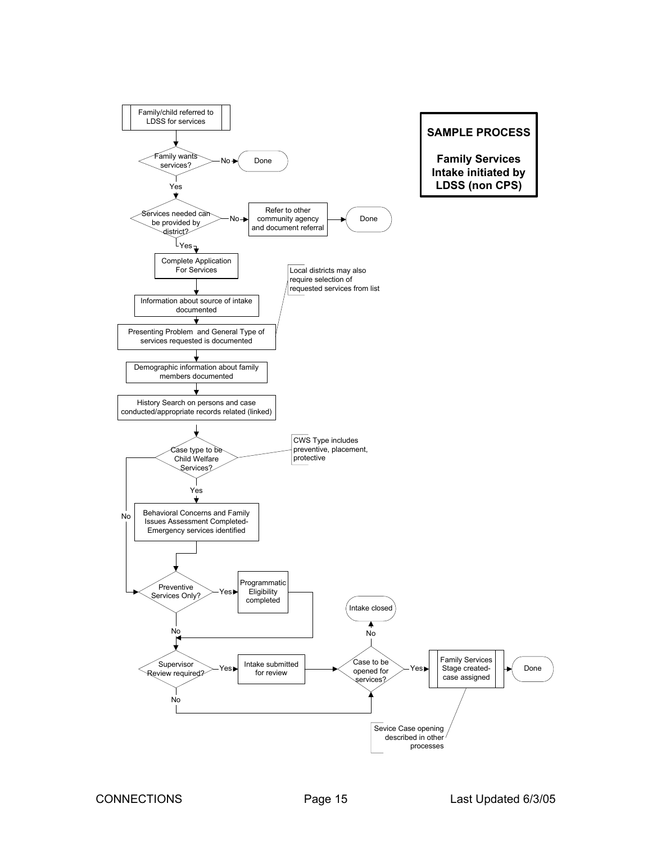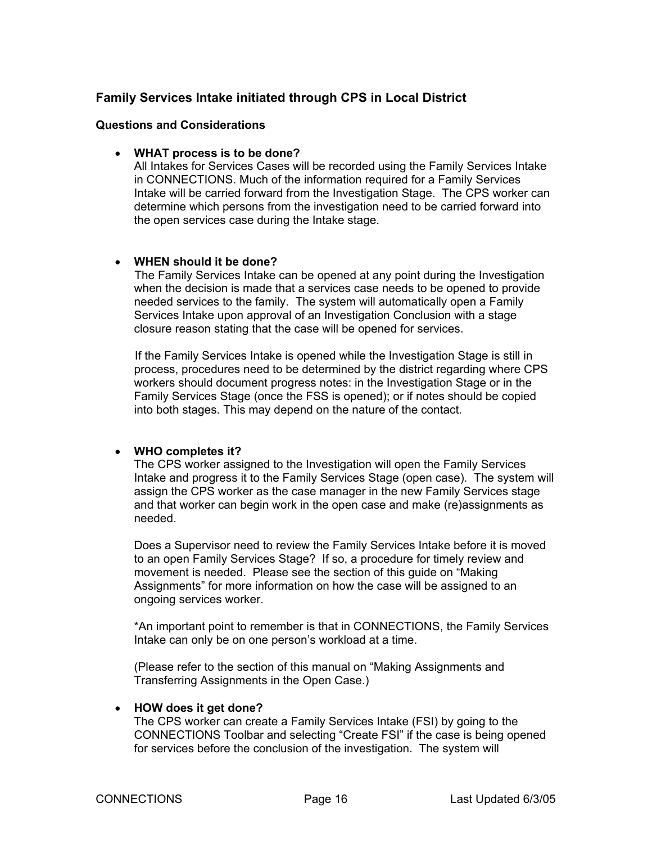# <span id="page-15-0"></span>**Family Services Intake initiated through CPS in Local District**

### **Questions and Considerations**

#### • **WHAT process is to be done?**

All Intakes for Services Cases will be recorded using the Family Services Intake in CONNECTIONS. Much of the information required for a Family Services Intake will be carried forward from the Investigation Stage. The CPS worker can determine which persons from the investigation need to be carried forward into the open services case during the Intake stage.

#### • **WHEN should it be done?**

The Family Services Intake can be opened at any point during the Investigation when the decision is made that a services case needs to be opened to provide needed services to the family. The system will automatically open a Family Services Intake upon approval of an Investigation Conclusion with a stage closure reason stating that the case will be opened for services.

If the Family Services Intake is opened while the Investigation Stage is still in process, procedures need to be determined by the district regarding where CPS workers should document progress notes: in the Investigation Stage or in the Family Services Stage (once the FSS is opened); or if notes should be copied into both stages. This may depend on the nature of the contact.

#### • **WHO completes it?**

The CPS worker assigned to the Investigation will open the Family Services Intake and progress it to the Family Services Stage (open case). The system will assign the CPS worker as the case manager in the new Family Services stage and that worker can begin work in the open case and make (re)assignments as needed.

Does a Supervisor need to review the Family Services Intake before it is moved to an open Family Services Stage? If so, a procedure for timely review and movement is needed. Please see the section of this guide on "Making Assignments" for more information on how the case will be assigned to an ongoing services worker.

\*An important point to remember is that in CONNECTIONS, the Family Services Intake can only be on one person's workload at a time.

(Please refer to the section of this manual on "Making Assignments and Transferring Assignments in the Open Case.)

# • **HOW does it get done?**

The CPS worker can create a Family Services Intake (FSI) by going to the CONNECTIONS Toolbar and selecting "Create FSI" if the case is being opened for services before the conclusion of the investigation. The system will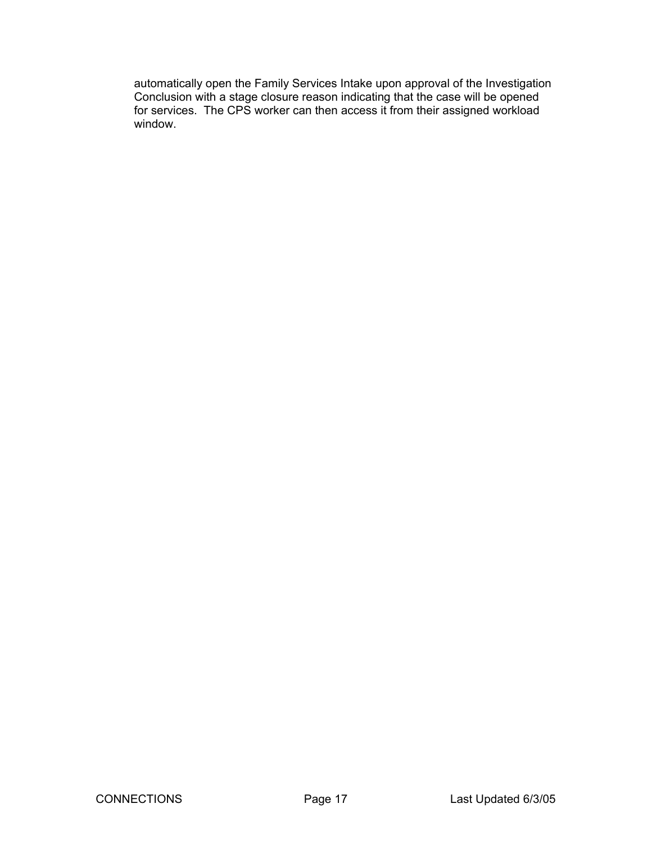automatically open the Family Services Intake upon approval of the Investigation Conclusion with a stage closure reason indicating that the case will be opened for services. The CPS worker can then access it from their assigned workload window.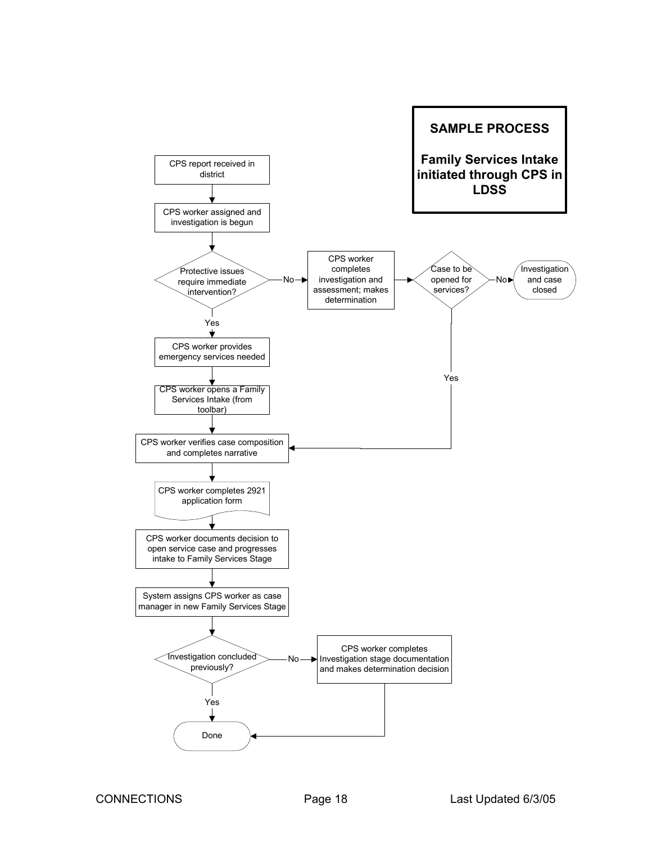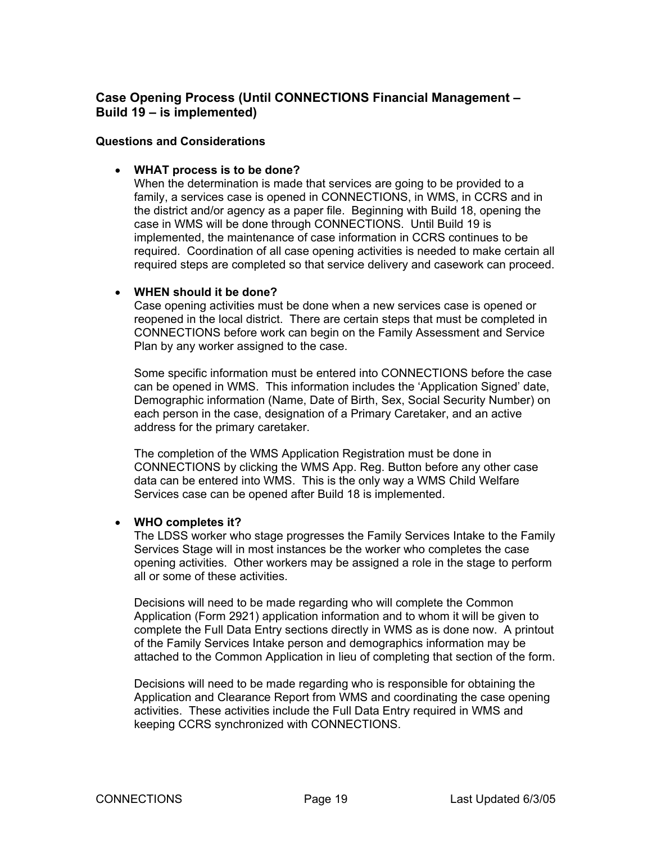# <span id="page-18-0"></span>**Case Opening Process (Until CONNECTIONS Financial Management – Build 19 – is implemented)**

#### **Questions and Considerations**

#### • **WHAT process is to be done?**

When the determination is made that services are going to be provided to a family, a services case is opened in CONNECTIONS, in WMS, in CCRS and in the district and/or agency as a paper file. Beginning with Build 18, opening the case in WMS will be done through CONNECTIONS. Until Build 19 is implemented, the maintenance of case information in CCRS continues to be required. Coordination of all case opening activities is needed to make certain all required steps are completed so that service delivery and casework can proceed.

#### • **WHEN should it be done?**

Case opening activities must be done when a new services case is opened or reopened in the local district. There are certain steps that must be completed in CONNECTIONS before work can begin on the Family Assessment and Service Plan by any worker assigned to the case.

Some specific information must be entered into CONNECTIONS before the case can be opened in WMS. This information includes the 'Application Signed' date, Demographic information (Name, Date of Birth, Sex, Social Security Number) on each person in the case, designation of a Primary Caretaker, and an active address for the primary caretaker.

The completion of the WMS Application Registration must be done in CONNECTIONS by clicking the WMS App. Reg. Button before any other case data can be entered into WMS. This is the only way a WMS Child Welfare Services case can be opened after Build 18 is implemented.

#### • **WHO completes it?**

The LDSS worker who stage progresses the Family Services Intake to the Family Services Stage will in most instances be the worker who completes the case opening activities. Other workers may be assigned a role in the stage to perform all or some of these activities.

Decisions will need to be made regarding who will complete the Common Application (Form 2921) application information and to whom it will be given to complete the Full Data Entry sections directly in WMS as is done now. A printout of the Family Services Intake person and demographics information may be attached to the Common Application in lieu of completing that section of the form.

Decisions will need to be made regarding who is responsible for obtaining the Application and Clearance Report from WMS and coordinating the case opening activities. These activities include the Full Data Entry required in WMS and keeping CCRS synchronized with CONNECTIONS.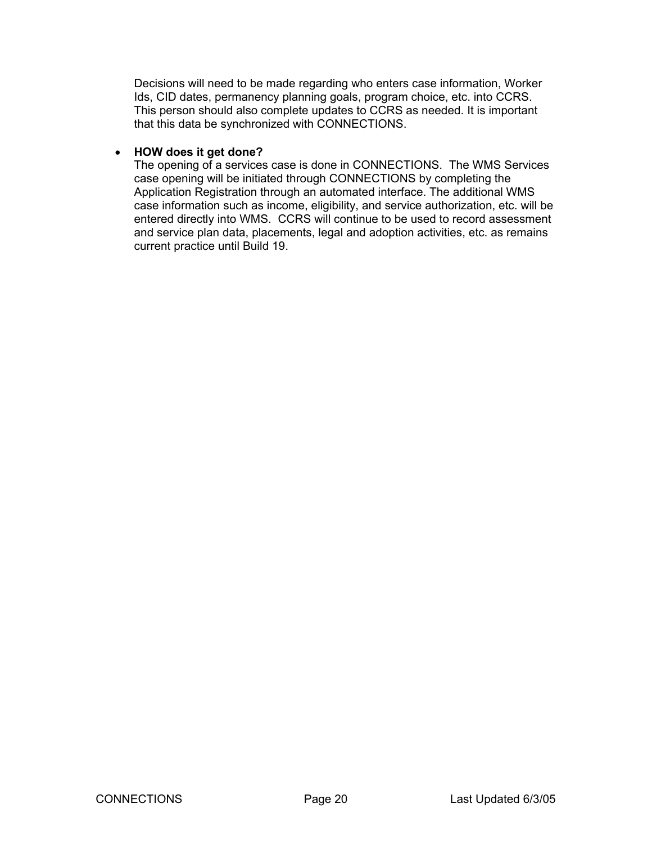Decisions will need to be made regarding who enters case information, Worker Ids, CID dates, permanency planning goals, program choice, etc. into CCRS. This person should also complete updates to CCRS as needed. It is important that this data be synchronized with CONNECTIONS.

## • **HOW does it get done?**

The opening of a services case is done in CONNECTIONS. The WMS Services case opening will be initiated through CONNECTIONS by completing the Application Registration through an automated interface. The additional WMS case information such as income, eligibility, and service authorization, etc. will be entered directly into WMS. CCRS will continue to be used to record assessment and service plan data, placements, legal and adoption activities, etc. as remains current practice until Build 19.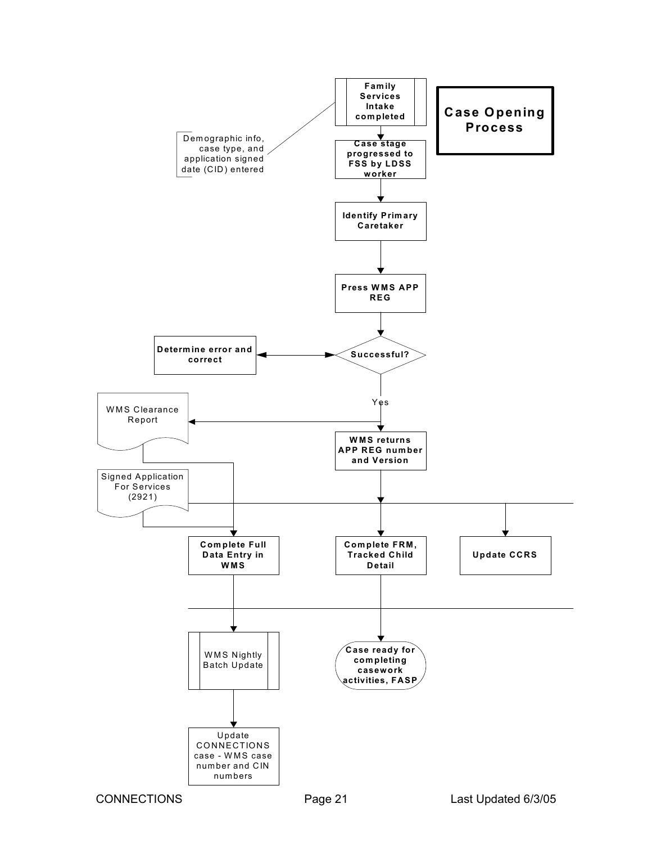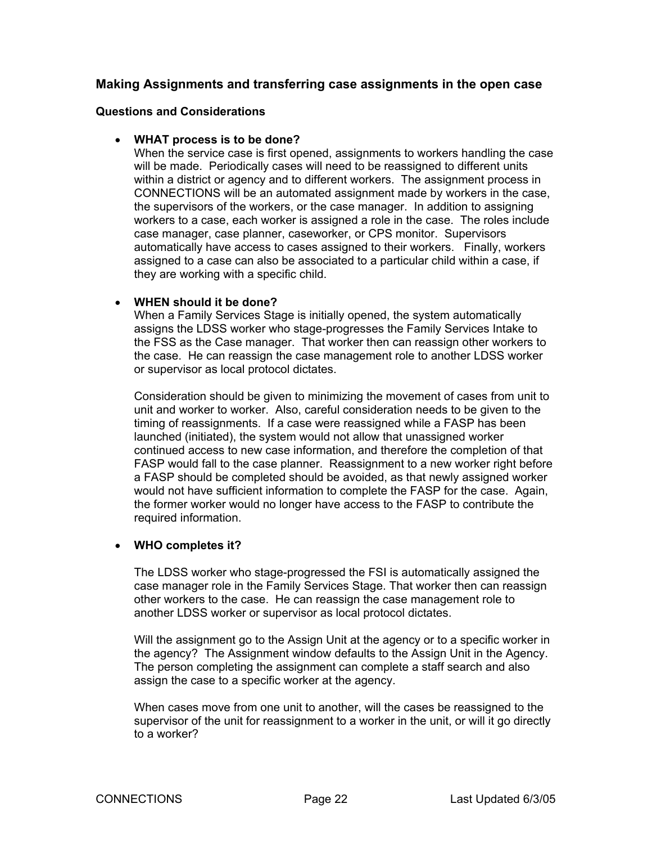# <span id="page-21-0"></span>**Making Assignments and transferring case assignments in the open case**

#### **Questions and Considerations**

#### • **WHAT process is to be done?**

When the service case is first opened, assignments to workers handling the case will be made. Periodically cases will need to be reassigned to different units within a district or agency and to different workers. The assignment process in CONNECTIONS will be an automated assignment made by workers in the case, the supervisors of the workers, or the case manager. In addition to assigning workers to a case, each worker is assigned a role in the case. The roles include case manager, case planner, caseworker, or CPS monitor. Supervisors automatically have access to cases assigned to their workers. Finally, workers assigned to a case can also be associated to a particular child within a case, if they are working with a specific child.

#### • **WHEN should it be done?**

When a Family Services Stage is initially opened, the system automatically assigns the LDSS worker who stage-progresses the Family Services Intake to the FSS as the Case manager. That worker then can reassign other workers to the case. He can reassign the case management role to another LDSS worker or supervisor as local protocol dictates.

Consideration should be given to minimizing the movement of cases from unit to unit and worker to worker. Also, careful consideration needs to be given to the timing of reassignments. If a case were reassigned while a FASP has been launched (initiated), the system would not allow that unassigned worker continued access to new case information, and therefore the completion of that FASP would fall to the case planner. Reassignment to a new worker right before a FASP should be completed should be avoided, as that newly assigned worker would not have sufficient information to complete the FASP for the case. Again, the former worker would no longer have access to the FASP to contribute the required information.

#### • **WHO completes it?**

The LDSS worker who stage-progressed the FSI is automatically assigned the case manager role in the Family Services Stage. That worker then can reassign other workers to the case. He can reassign the case management role to another LDSS worker or supervisor as local protocol dictates.

Will the assignment go to the Assign Unit at the agency or to a specific worker in the agency? The Assignment window defaults to the Assign Unit in the Agency. The person completing the assignment can complete a staff search and also assign the case to a specific worker at the agency.

When cases move from one unit to another, will the cases be reassigned to the supervisor of the unit for reassignment to a worker in the unit, or will it go directly to a worker?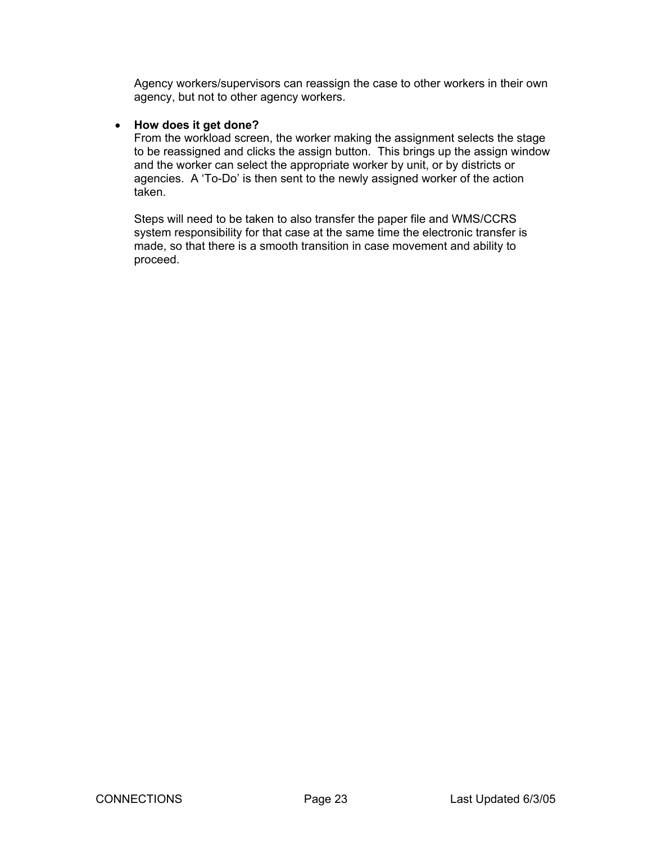Agency workers/supervisors can reassign the case to other workers in their own agency, but not to other agency workers.

#### • **How does it get done?**

From the workload screen, the worker making the assignment selects the stage to be reassigned and clicks the assign button. This brings up the assign window and the worker can select the appropriate worker by unit, or by districts or agencies. A 'To-Do' is then sent to the newly assigned worker of the action taken.

Steps will need to be taken to also transfer the paper file and WMS/CCRS system responsibility for that case at the same time the electronic transfer is made, so that there is a smooth transition in case movement and ability to proceed.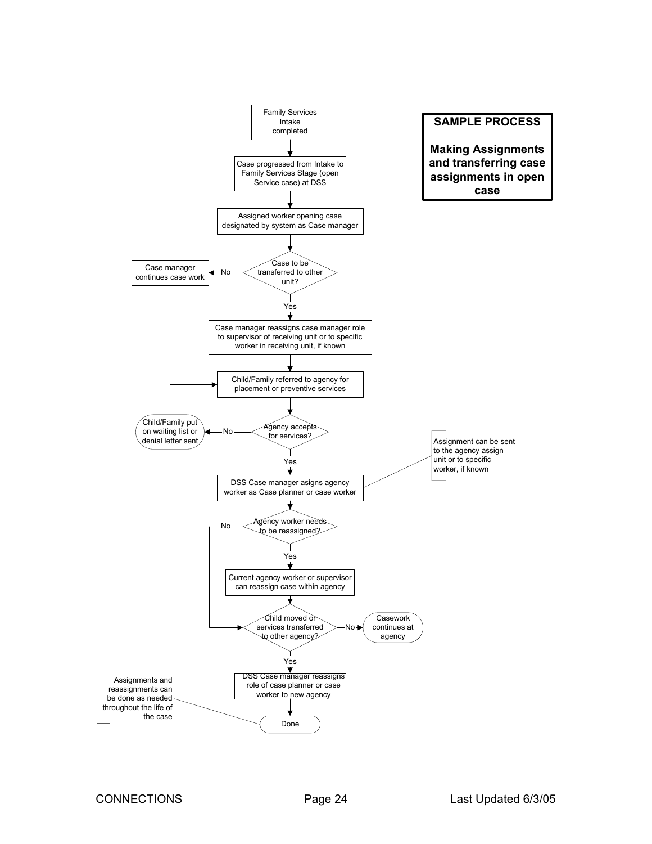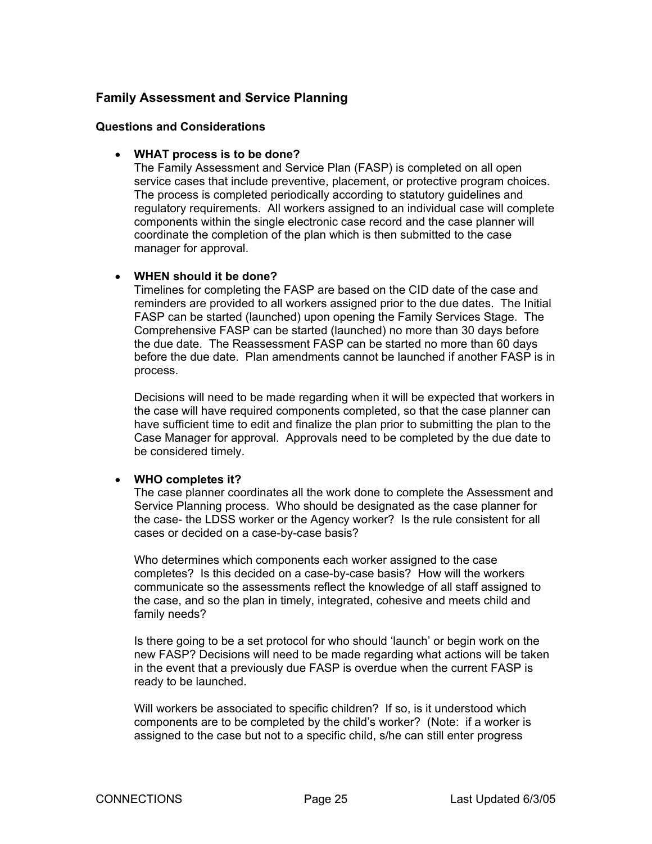# <span id="page-24-0"></span>**Family Assessment and Service Planning**

#### **Questions and Considerations**

#### • **WHAT process is to be done?**

The Family Assessment and Service Plan (FASP) is completed on all open service cases that include preventive, placement, or protective program choices. The process is completed periodically according to statutory guidelines and regulatory requirements. All workers assigned to an individual case will complete components within the single electronic case record and the case planner will coordinate the completion of the plan which is then submitted to the case manager for approval.

#### • **WHEN should it be done?**

Timelines for completing the FASP are based on the CID date of the case and reminders are provided to all workers assigned prior to the due dates. The Initial FASP can be started (launched) upon opening the Family Services Stage. The Comprehensive FASP can be started (launched) no more than 30 days before the due date. The Reassessment FASP can be started no more than 60 days before the due date. Plan amendments cannot be launched if another FASP is in process.

Decisions will need to be made regarding when it will be expected that workers in the case will have required components completed, so that the case planner can have sufficient time to edit and finalize the plan prior to submitting the plan to the Case Manager for approval. Approvals need to be completed by the due date to be considered timely.

#### • **WHO completes it?**

The case planner coordinates all the work done to complete the Assessment and Service Planning process. Who should be designated as the case planner for the case- the LDSS worker or the Agency worker? Is the rule consistent for all cases or decided on a case-by-case basis?

Who determines which components each worker assigned to the case completes? Is this decided on a case-by-case basis? How will the workers communicate so the assessments reflect the knowledge of all staff assigned to the case, and so the plan in timely, integrated, cohesive and meets child and family needs?

Is there going to be a set protocol for who should 'launch' or begin work on the new FASP? Decisions will need to be made regarding what actions will be taken in the event that a previously due FASP is overdue when the current FASP is ready to be launched.

Will workers be associated to specific children? If so, is it understood which components are to be completed by the child's worker? (Note: if a worker is assigned to the case but not to a specific child, s/he can still enter progress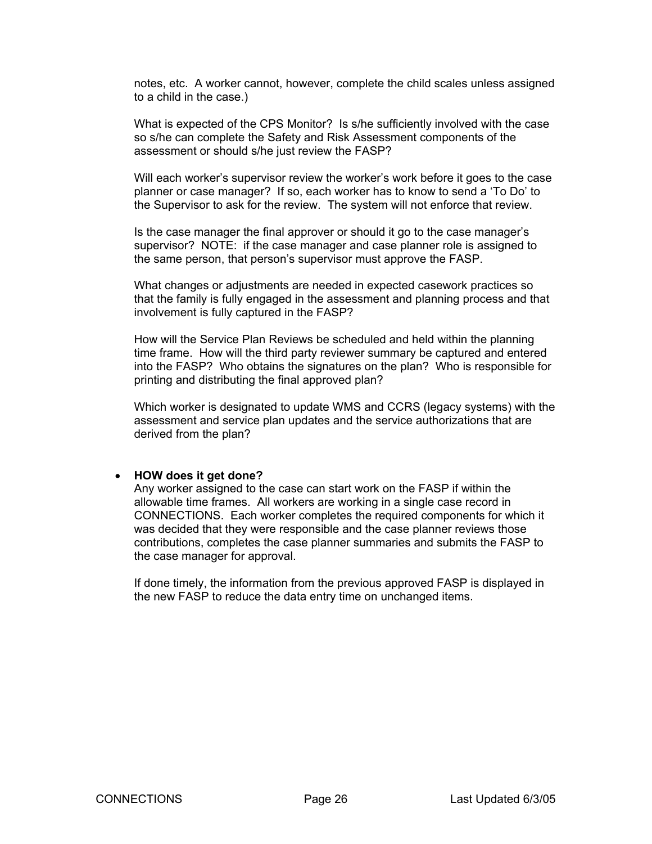notes, etc. A worker cannot, however, complete the child scales unless assigned to a child in the case.)

What is expected of the CPS Monitor? Is s/he sufficiently involved with the case so s/he can complete the Safety and Risk Assessment components of the assessment or should s/he just review the FASP?

Will each worker's supervisor review the worker's work before it goes to the case planner or case manager? If so, each worker has to know to send a 'To Do' to the Supervisor to ask for the review. The system will not enforce that review.

Is the case manager the final approver or should it go to the case manager's supervisor? NOTE: if the case manager and case planner role is assigned to the same person, that person's supervisor must approve the FASP.

What changes or adjustments are needed in expected casework practices so that the family is fully engaged in the assessment and planning process and that involvement is fully captured in the FASP?

How will the Service Plan Reviews be scheduled and held within the planning time frame. How will the third party reviewer summary be captured and entered into the FASP? Who obtains the signatures on the plan? Who is responsible for printing and distributing the final approved plan?

Which worker is designated to update WMS and CCRS (legacy systems) with the assessment and service plan updates and the service authorizations that are derived from the plan?

#### • **HOW does it get done?**

Any worker assigned to the case can start work on the FASP if within the allowable time frames. All workers are working in a single case record in CONNECTIONS. Each worker completes the required components for which it was decided that they were responsible and the case planner reviews those contributions, completes the case planner summaries and submits the FASP to the case manager for approval.

If done timely, the information from the previous approved FASP is displayed in the new FASP to reduce the data entry time on unchanged items.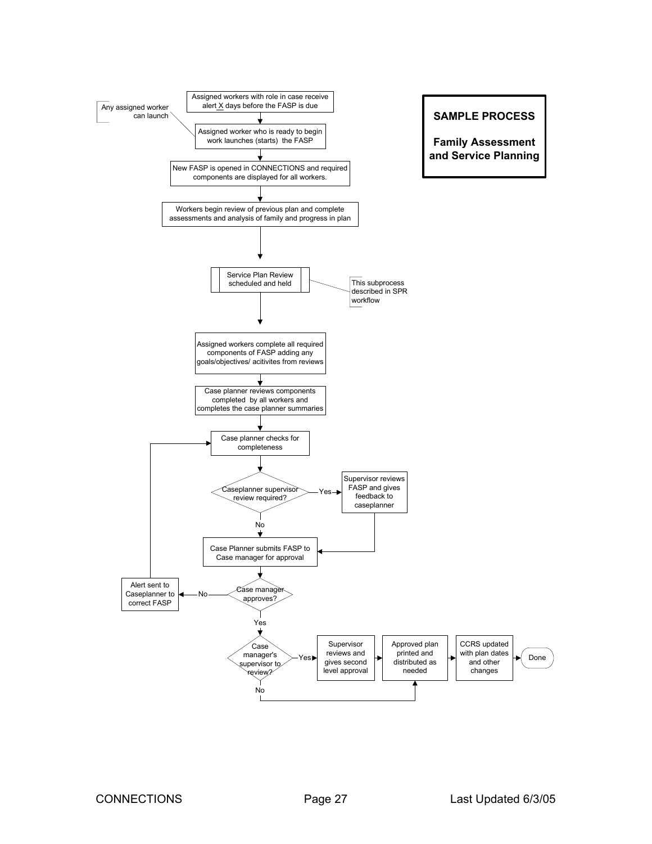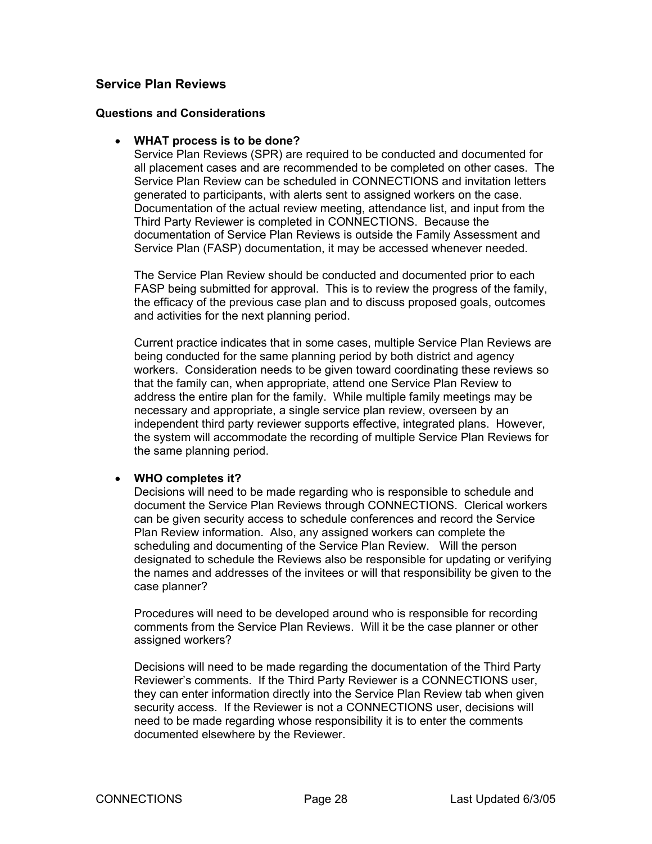# <span id="page-27-0"></span>**Service Plan Reviews**

#### **Questions and Considerations**

#### • **WHAT process is to be done?**

Service Plan Reviews (SPR) are required to be conducted and documented for all placement cases and are recommended to be completed on other cases. The Service Plan Review can be scheduled in CONNECTIONS and invitation letters generated to participants, with alerts sent to assigned workers on the case. Documentation of the actual review meeting, attendance list, and input from the Third Party Reviewer is completed in CONNECTIONS. Because the documentation of Service Plan Reviews is outside the Family Assessment and Service Plan (FASP) documentation, it may be accessed whenever needed.

The Service Plan Review should be conducted and documented prior to each FASP being submitted for approval. This is to review the progress of the family, the efficacy of the previous case plan and to discuss proposed goals, outcomes and activities for the next planning period.

Current practice indicates that in some cases, multiple Service Plan Reviews are being conducted for the same planning period by both district and agency workers. Consideration needs to be given toward coordinating these reviews so that the family can, when appropriate, attend one Service Plan Review to address the entire plan for the family. While multiple family meetings may be necessary and appropriate, a single service plan review, overseen by an independent third party reviewer supports effective, integrated plans. However, the system will accommodate the recording of multiple Service Plan Reviews for the same planning period.

#### • **WHO completes it?**

Decisions will need to be made regarding who is responsible to schedule and document the Service Plan Reviews through CONNECTIONS. Clerical workers can be given security access to schedule conferences and record the Service Plan Review information. Also, any assigned workers can complete the scheduling and documenting of the Service Plan Review. Will the person designated to schedule the Reviews also be responsible for updating or verifying the names and addresses of the invitees or will that responsibility be given to the case planner?

Procedures will need to be developed around who is responsible for recording comments from the Service Plan Reviews. Will it be the case planner or other assigned workers?

Decisions will need to be made regarding the documentation of the Third Party Reviewer's comments. If the Third Party Reviewer is a CONNECTIONS user, they can enter information directly into the Service Plan Review tab when given security access. If the Reviewer is not a CONNECTIONS user, decisions will need to be made regarding whose responsibility it is to enter the comments documented elsewhere by the Reviewer.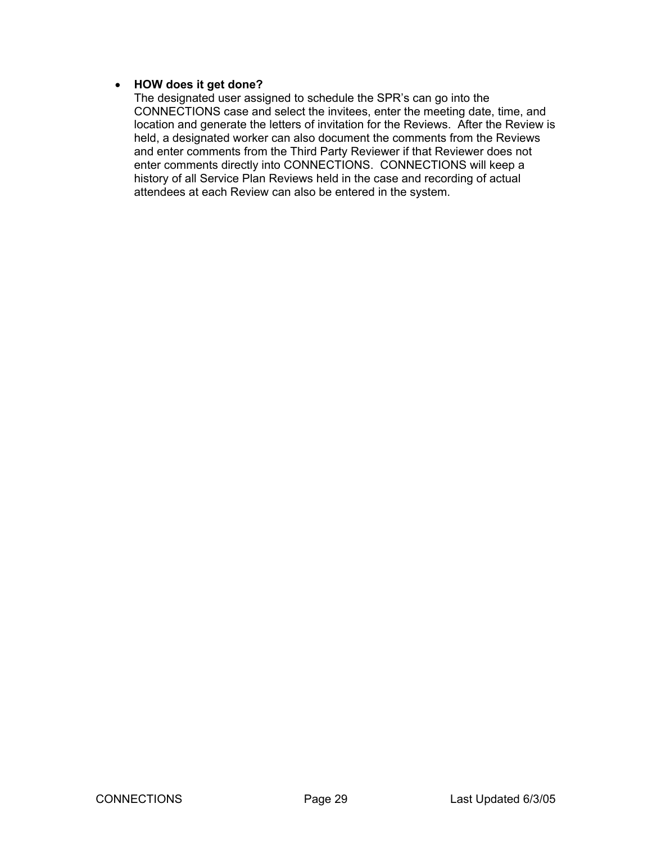#### • **HOW does it get done?**

The designated user assigned to schedule the SPR's can go into the CONNECTIONS case and select the invitees, enter the meeting date, time, and location and generate the letters of invitation for the Reviews. After the Review is held, a designated worker can also document the comments from the Reviews and enter comments from the Third Party Reviewer if that Reviewer does not enter comments directly into CONNECTIONS. CONNECTIONS will keep a history of all Service Plan Reviews held in the case and recording of actual attendees at each Review can also be entered in the system.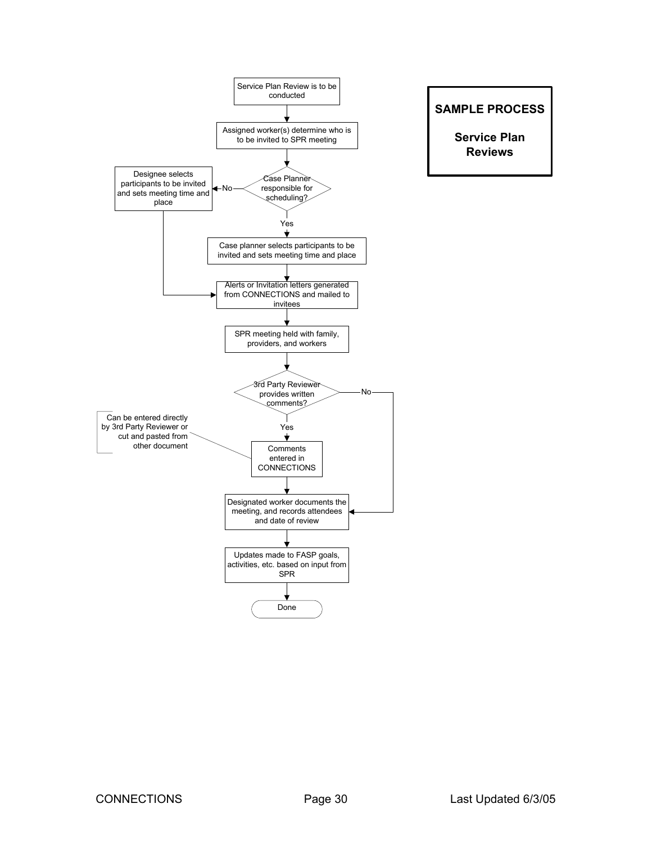

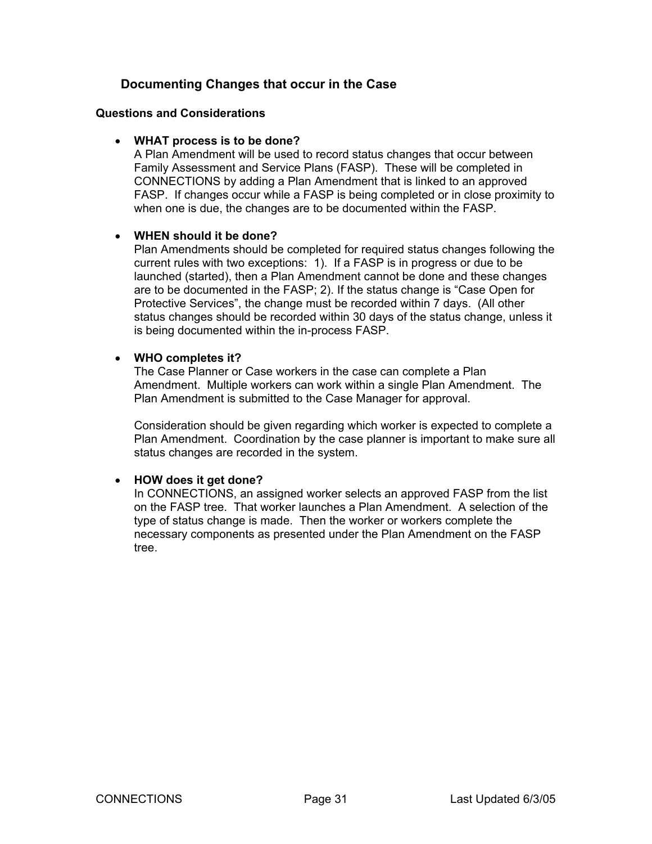# **Documenting Changes that occur in the Case**

#### <span id="page-30-0"></span>**Questions and Considerations**

#### • **WHAT process is to be done?**

A Plan Amendment will be used to record status changes that occur between Family Assessment and Service Plans (FASP). These will be completed in CONNECTIONS by adding a Plan Amendment that is linked to an approved FASP. If changes occur while a FASP is being completed or in close proximity to when one is due, the changes are to be documented within the FASP.

#### • **WHEN should it be done?**

Plan Amendments should be completed for required status changes following the current rules with two exceptions: 1). If a FASP is in progress or due to be launched (started), then a Plan Amendment cannot be done and these changes are to be documented in the FASP; 2). If the status change is "Case Open for Protective Services", the change must be recorded within 7 days. (All other status changes should be recorded within 30 days of the status change, unless it is being documented within the in-process FASP.

#### • **WHO completes it?**

The Case Planner or Case workers in the case can complete a Plan Amendment. Multiple workers can work within a single Plan Amendment. The Plan Amendment is submitted to the Case Manager for approval.

Consideration should be given regarding which worker is expected to complete a Plan Amendment. Coordination by the case planner is important to make sure all status changes are recorded in the system.

# • **HOW does it get done?**

In CONNECTIONS, an assigned worker selects an approved FASP from the list on the FASP tree. That worker launches a Plan Amendment. A selection of the type of status change is made. Then the worker or workers complete the necessary components as presented under the Plan Amendment on the FASP tree.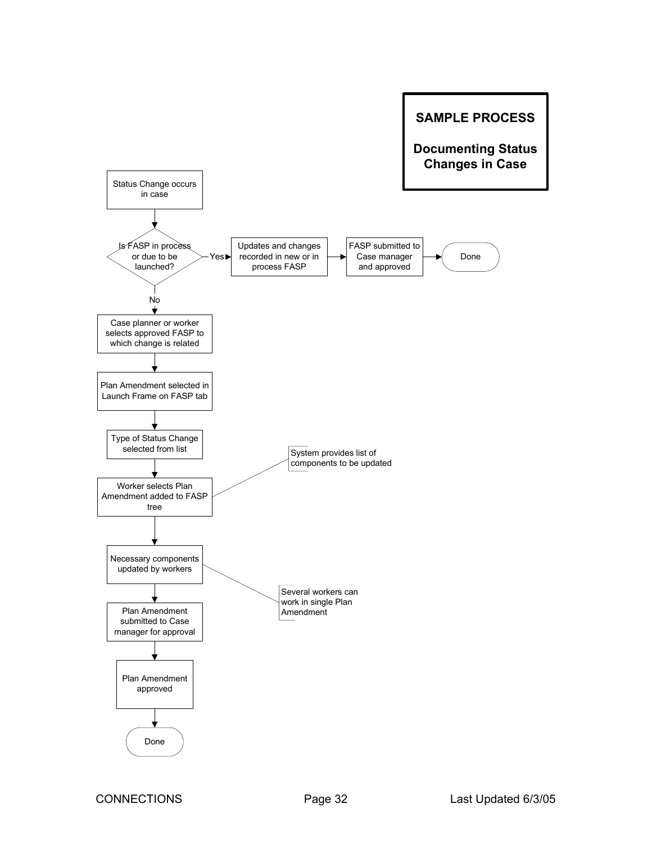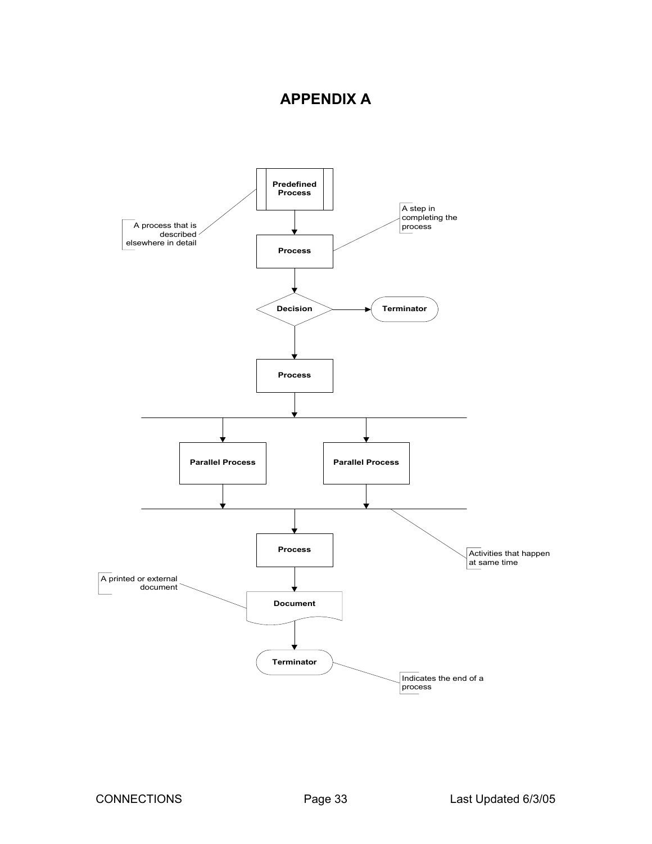# **APPENDIX A**

<span id="page-32-0"></span>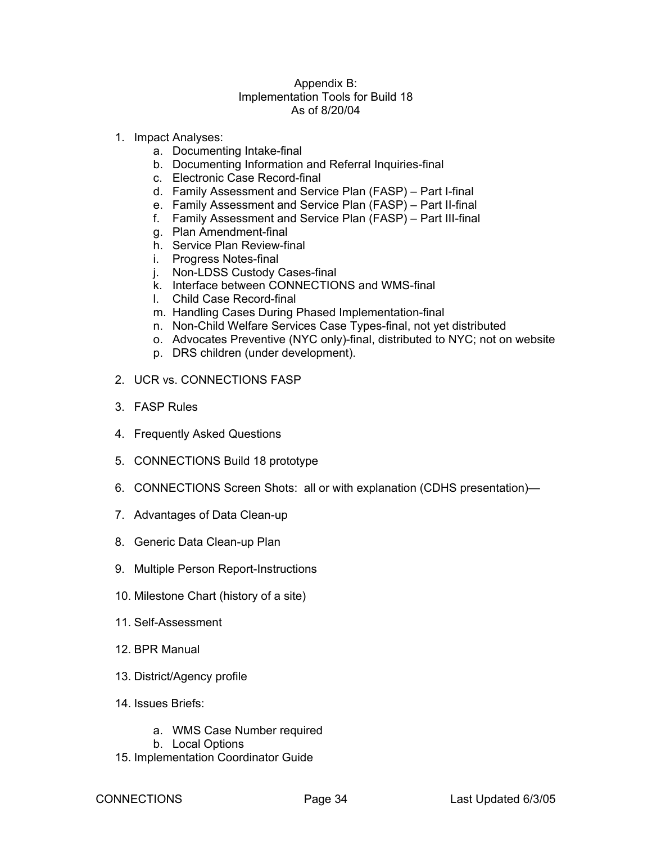#### Appendix B: Implementation Tools for Build 18 As of 8/20/04

- 1. Impact Analyses:
	- a. Documenting Intake-final
	- b. Documenting Information and Referral Inquiries-final
	- c. Electronic Case Record-final
	- d. Family Assessment and Service Plan (FASP) Part I-final
	- e. Family Assessment and Service Plan (FASP) Part II-final
	- f. Family Assessment and Service Plan (FASP) Part III-final
	- g. Plan Amendment-final
	- h. Service Plan Review-final
	- i. Progress Notes-final
	- j. Non-LDSS Custody Cases-final
	- k. Interface between CONNECTIONS and WMS-final
	- l. Child Case Record-final
	- m. Handling Cases During Phased Implementation-final
	- n. Non-Child Welfare Services Case Types-final, not yet distributed
	- o. Advocates Preventive (NYC only)-final, distributed to NYC; not on website
	- p. DRS children (under development).
- 2. UCR vs. CONNECTIONS FASP
- 3. FASP Rules
- 4. Frequently Asked Questions
- 5. CONNECTIONS Build 18 prototype
- 6. CONNECTIONS Screen Shots: all or with explanation (CDHS presentation)—
- 7. Advantages of Data Clean-up
- 8. Generic Data Clean-up Plan
- 9. Multiple Person Report-Instructions
- 10. Milestone Chart (history of a site)
- 11. Self-Assessment
- 12. BPR Manual
- 13. District/Agency profile
- 14. Issues Briefs:
	- a. WMS Case Number required
	- b. Local Options
- 15. Implementation Coordinator Guide